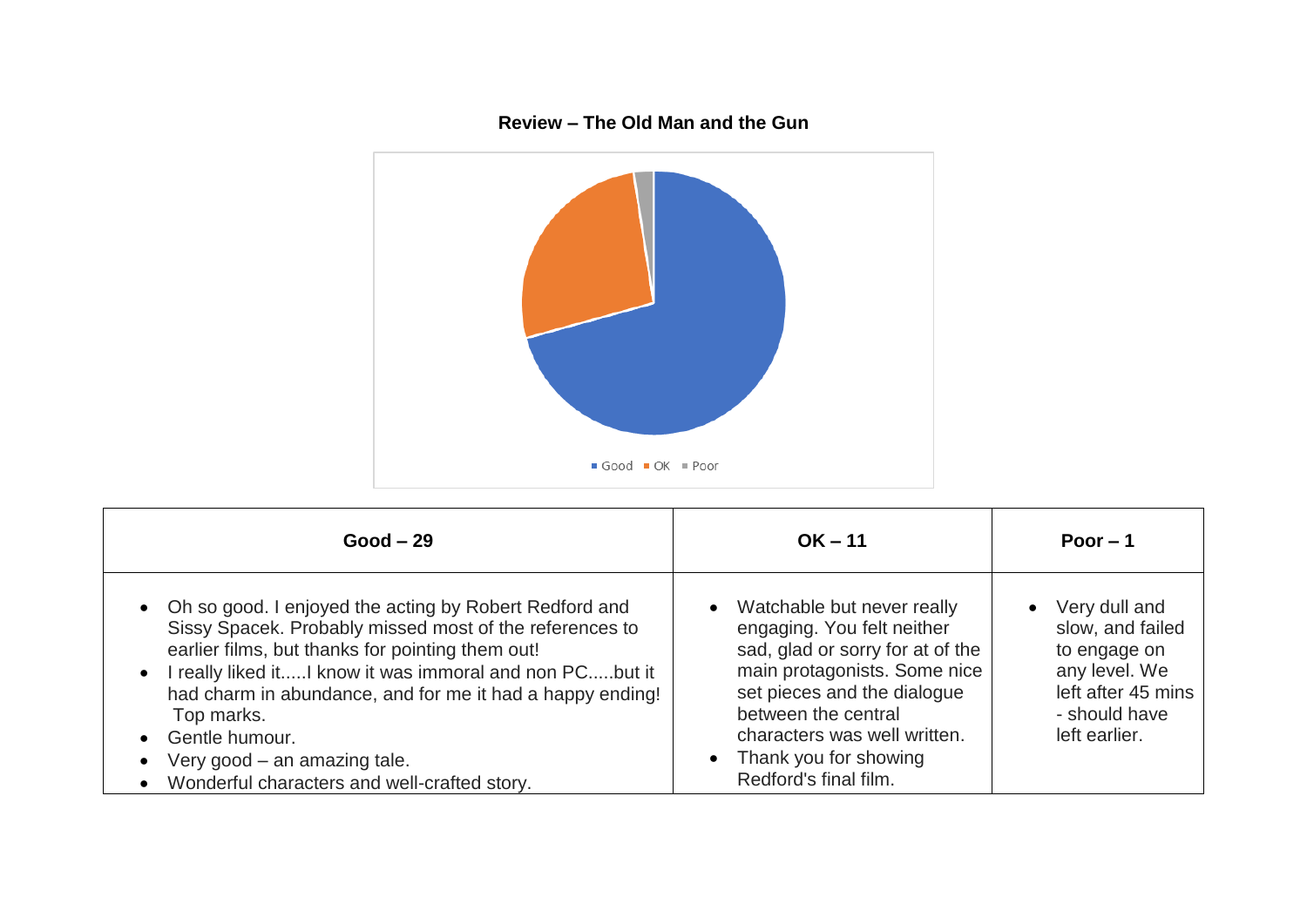

| $Good - 29$                                                                                                                                                                                                                                                                                                                                                                                                           | $OK - 11$                                                                                                                                                                                                                                                                           | Poor $-1$                                                                                                                               |
|-----------------------------------------------------------------------------------------------------------------------------------------------------------------------------------------------------------------------------------------------------------------------------------------------------------------------------------------------------------------------------------------------------------------------|-------------------------------------------------------------------------------------------------------------------------------------------------------------------------------------------------------------------------------------------------------------------------------------|-----------------------------------------------------------------------------------------------------------------------------------------|
| • Oh so good. I enjoyed the acting by Robert Redford and<br>Sissy Spacek. Probably missed most of the references to<br>earlier films, but thanks for pointing them out!<br>• I really liked itI know it was immoral and non PCbut it<br>had charm in abundance, and for me it had a happy ending!<br>Top marks.<br>• Gentle humour.<br>Very good – an amazing tale.<br>• Wonderful characters and well-crafted story. | Watchable but never really<br>$\bullet$<br>engaging. You felt neither<br>sad, glad or sorry for at of the<br>main protagonists. Some nice<br>set pieces and the dialogue<br>between the central<br>characters was well written.<br>• Thank you for showing<br>Redford's final film. | Very dull and<br>$\bullet$<br>slow, and failed<br>to engage on<br>any level. We<br>left after 45 mins<br>- should have<br>left earlier. |

## **Review – The Old Man and the Gun**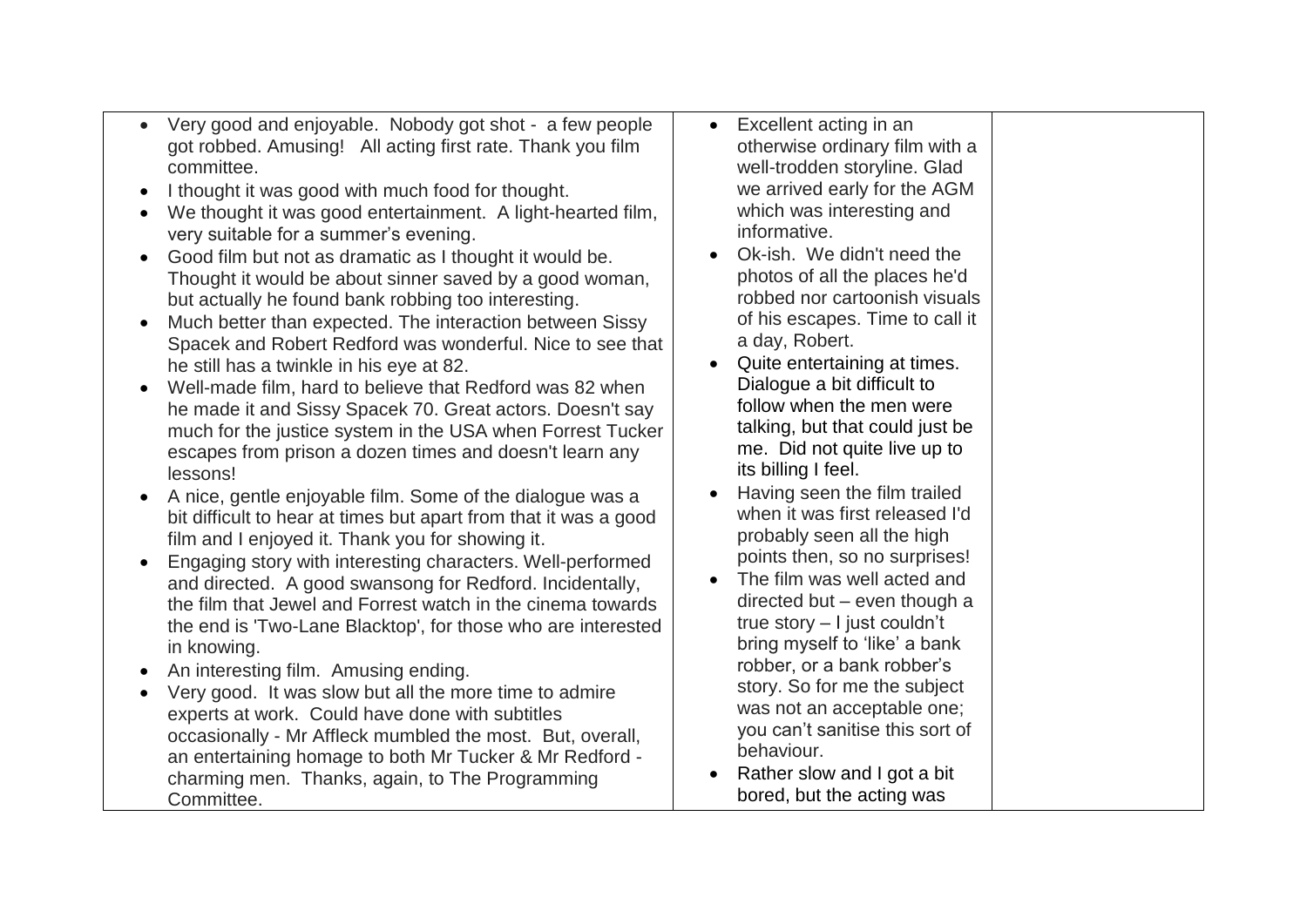- Very good and enjoyable. Nobody got shot a few people got robbed. Amusing! All acting first rate. Thank you film committee.
- I thought it was good with much food for thought.
- We thought it was good entertainment. A light-hearted film, very suitable for a summer's evening.
- Good film but not as dramatic as I thought it would be. Thought it would be about sinner saved by a good woman, but actually he found bank robbing too interesting.
- Much better than expected. The interaction between Sissy Spacek and Robert Redford was wonderful. Nice to see that he still has a twinkle in his eye at 82.
- Well-made film, hard to believe that Redford was 82 when he made it and Sissy Spacek 70. Great actors. Doesn't say much for the justice system in the USA when Forrest Tucker escapes from prison a dozen times and doesn't learn any lessons!
- A nice, gentle enjoyable film. Some of the dialogue was a bit difficult to hear at times but apart from that it was a good film and I enjoyed it. Thank you for showing it.
- Engaging story with interesting characters. Well-performed and directed. A good swansong for Redford. Incidentally, the film that Jewel and Forrest watch in the cinema towards the end is 'Two-Lane Blacktop', for those who are interested in knowing.
- An interesting film. Amusing ending.
- Very good. It was slow but all the more time to admire experts at work. Could have done with subtitles occasionally - Mr Affleck mumbled the most. But, overall, an entertaining homage to both Mr Tucker & Mr Redford charming men. Thanks, again, to The Programming Committee.
- Excellent acting in an otherwise ordinary film with a well-trodden storyline. Glad we arrived early for the AGM which was interesting and informative.
- Ok-ish. We didn't need the photos of all the places he'd robbed nor cartoonish visuals of his escapes. Time to call it a day, Robert.
- Quite entertaining at times. Dialogue a bit difficult to follow when the men were talking, but that could just be me. Did not quite live up to its billing I feel.
- Having seen the film trailed when it was first released I'd probably seen all the high points then, so no surprises!
- The film was well acted and directed but – even though a true story – I just couldn't bring myself to 'like' a bank robber, or a bank robber's story. So for me the subject was not an acceptable one; you can't sanitise this sort of behaviour.
- Rather slow and I got a bit bored, but the acting was